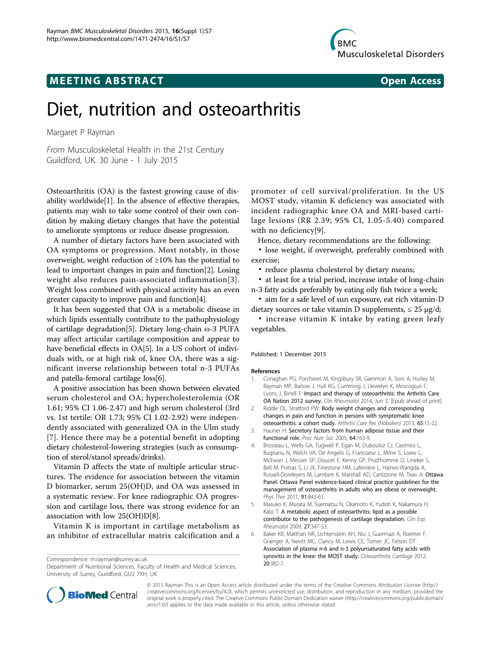# **MEETING ABSTRACT ACCESS**



# Diet, nutrition and osteoarthritis

Margaret P Rayman

From Musculoskeletal Health in the 21st Century Guildford, UK. 30 June - 1 July 2015

Osteoarthritis (OA) is the fastest growing cause of disability worldwide[\[1\]](#page--1-0). In the absence of effective therapies, patients may wish to take some control of their own condition by making dietary changes that have the potential to ameliorate symptoms or reduce disease progression.

A number of dietary factors have been associated with OA symptoms or progression. Most notably, in those overweight, weight reduction of ≥10% has the potential to lead to important changes in pain and function[[2\]](#page--1-0). Losing weight also reduces pain-associated inflammation[[3\]](#page--1-0). Weight loss combined with physical activity has an even greater capacity to improve pain and function[[4](#page--1-0)].

It has been suggested that OA is a metabolic disease in which lipids essentially contribute to the pathophysiology of cartilage degradation[[5\]](#page--1-0). Dietary long-chain ω-3 PUFA may affect articular cartilage composition and appear to have beneficial effects in OA[\[5](#page--1-0)]. In a US cohort of individuals with, or at high risk of, knee OA, there was a significant inverse relationship between total n-3 PUFAs and patella-femoral cartilage loss[[6\]](#page--1-0).

A positive association has been shown between elevated serum cholesterol and OA; hypercholesterolemia (OR 1.61; 95% CI 1.06-2.47) and high serum cholesterol (3rd vs. 1st tertile: OR 1.73; 95% CI 1.02-2.92) were independently associated with generalized OA in the Ulm study [[7](#page--1-0)]. Hence there may be a potential benefit in adopting dietary cholesterol-lowering strategies (such as consumption of sterol/stanol spreads/drinks).

Vitamin D affects the state of multiple articular structures. The evidence for association between the vitamin D biomarker, serum 25(OH)D, and OA was assessed in a systematic review. For knee radiographic OA progression and cartilage loss, there was strong evidence for an association with low 25(OH)D[[8](#page--1-0)].

Vitamin K is important in cartilage metabolism as an inhibitor of extracellular matrix calcification and a

<sup>20</sup>:382-7. Correspondence: [m.rayman@surrey.ac.uk](mailto:m.rayman@surrey.ac.uk) Department of Nutritional Sciences, Faculty of Health and Medical Sciences, University of Surrey, Guildford, GU2 7XH, UK

promoter of cell survival/proliferation. In the US MOST study, vitamin K deficiency was associated with incident radiographic knee OA and MRI-based cartilage lesions (RR 2.39; 95% CI, 1.05-5.40) compared with no deficiency[[9\]](#page--1-0).

Hence, dietary recommendations are the following:

▪ lose weight, if overweight, preferably combined with exercise;

▪ reduce plasma cholesterol by dietary means;

▪ at least for a trial period, increase intake of long-chain n-3 fatty acids preferably by eating oily fish twice a week;

▪ aim for a safe level of sun exposure, eat rich vitamin-D dietary sources or take vitamin D supplements,  $\leq 25 \text{ µg/d}$ ;

**· increase vitamin K intake by eating green leafy** vegetables.

#### Published: 1 December 2015

#### References

- 1. Conaghan PG, Porcheret M, Kingsbury SR, Gammon A, Soni A, Hurley M, Rayman MP, Barlow J, Hull RG, Cumming J, Llewelyn K, Moscogiuri F, Lyons J, Birrell F: Impact and therapy of osteoarthritis: the Arthritis Care OA Nation 2012 survey. Clin Rheumatol 2014, Jun 3. [Epub ahead of print].
- 2. Riddle DL, Stratford PW: Body weight changes and corresponding changes in pain and function in persons with symptomatic knee osteoarthritis: a cohort study. Arthritis Care Res (Hoboken) 2013, 65:15-22.
- 3. Hauner H: Secretory factors from human adipose tissue and their functional role. Proc Nutr Soc 2005, 64:163-9.
- 4. Brosseau L, Wells GA, Tugwell P, Egan M, Dubouloz CJ, Casimiro L, Bugnariu N, Welch VA, De Angelis G, Francoeur L, Milne S, Loew L, McEwan J, Messier SP, Doucet E, Kenny GP, Prud'homme D, Lineker S, Bell M, Poitras S, Li JX, Finestone HM, Laferrière L, Haines-Wangda A, Russell-Doreleyers M, Lambert K, Marshall AD, Cartizzone M, Teav A: Ottawa Panel. Ottawa Panel evidence-based clinical practice guidelines for the management of osteoarthritis in adults who are obese or overweight. Phys Ther 2011, 91:843-61.
- 5. Masuko K, Murata M, Suematsu N, Okamoto K, Yudoh K, Nakamura H, Kato T: A metabolic aspect of osteoarthritis: lipid as a possible contributor to the pathogenesis of cartilage degradation. Clin Exp Rheumatol 2009, 27:347-53.
- 6. Baker KR, Matthan NR, Lichtenstein AH, Niu J, Guermazi A, Roemer F, Grainger A, Nevitt MC, Clancy M, Lewis CE, Torner JC, Felson DT: Association of plasma n-6 and n-3 polyunsaturated fatty acids with synovitis in the knee: the MOST study. Osteoarthritis Cartilage 2012,



© 2015 Rayman This is an Open Access article distributed under the terms of the Creative Commons Attribution License [\(http://](http://creativecommons.org/licenses/by/4.0) [creativecommons.org/licenses/by/4.0](http://creativecommons.org/licenses/by/4.0)), which permits unrestricted use, distribution, and reproduction in any medium, provided the original work is properly cited. The Creative Commons Public Domain Dedication waiver ([http://creativecommons.org/publicdomain/](http://creativecommons.org/publicdomain/zero/1.0/) [zero/1.0/](http://creativecommons.org/publicdomain/zero/1.0/)) applies to the data made available in this article, unless otherwise stated.